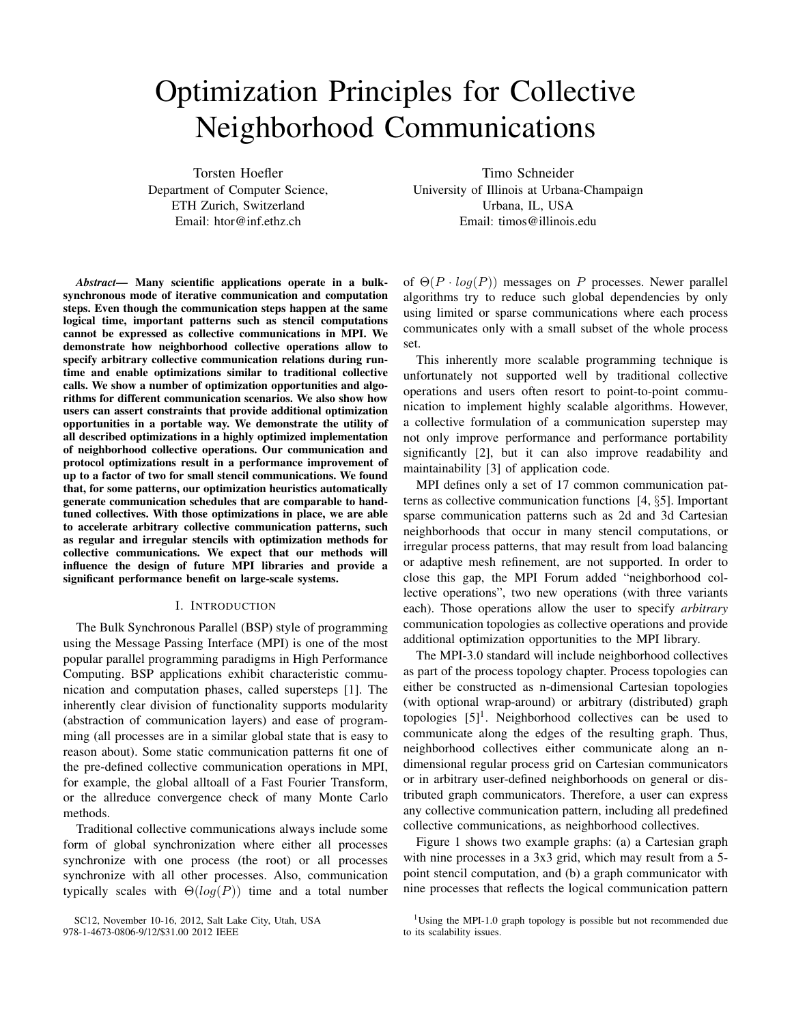# Optimization Principles for Collective Neighborhood Communications

Torsten Hoefler Department of Computer Science, ETH Zurich, Switzerland Email: htor@inf.ethz.ch

*Abstract*— Many scientific applications operate in a bulksynchronous mode of iterative communication and computation steps. Even though the communication steps happen at the same logical time, important patterns such as stencil computations cannot be expressed as collective communications in MPI. We demonstrate how neighborhood collective operations allow to specify arbitrary collective communication relations during runtime and enable optimizations similar to traditional collective calls. We show a number of optimization opportunities and algorithms for different communication scenarios. We also show how users can assert constraints that provide additional optimization opportunities in a portable way. We demonstrate the utility of all described optimizations in a highly optimized implementation of neighborhood collective operations. Our communication and protocol optimizations result in a performance improvement of up to a factor of two for small stencil communications. We found that, for some patterns, our optimization heuristics automatically generate communication schedules that are comparable to handtuned collectives. With those optimizations in place, we are able to accelerate arbitrary collective communication patterns, such as regular and irregular stencils with optimization methods for collective communications. We expect that our methods will influence the design of future MPI libraries and provide a significant performance benefit on large-scale systems.

#### I. INTRODUCTION

The Bulk Synchronous Parallel (BSP) style of programming using the Message Passing Interface (MPI) is one of the most popular parallel programming paradigms in High Performance Computing. BSP applications exhibit characteristic communication and computation phases, called supersteps [1]. The inherently clear division of functionality supports modularity (abstraction of communication layers) and ease of programming (all processes are in a similar global state that is easy to reason about). Some static communication patterns fit one of the pre-defined collective communication operations in MPI, for example, the global alltoall of a Fast Fourier Transform, or the allreduce convergence check of many Monte Carlo methods.

Traditional collective communications always include some form of global synchronization where either all processes synchronize with one process (the root) or all processes synchronize with all other processes. Also, communication typically scales with Θ(*log*(*P*)) time and a total number

SC12, November 10-16, 2012, Salt Lake City, Utah, USA 978-1-4673-0806-9/12/\$31.00 2012 IEEE

Timo Schneider University of Illinois at Urbana-Champaign Urbana, IL, USA Email: timos@illinois.edu

of Θ(*P · log*(*P*)) messages on *P* processes. Newer parallel algorithms try to reduce such global dependencies by only using limited or sparse communications where each process communicates only with a small subset of the whole process set.

This inherently more scalable programming technique is unfortunately not supported well by traditional collective operations and users often resort to point-to-point communication to implement highly scalable algorithms. However, a collective formulation of a communication superstep may not only improve performance and performance portability significantly [2], but it can also improve readability and maintainability [3] of application code.

MPI defines only a set of 17 common communication patterns as collective communication functions [4, *§*5]. Important sparse communication patterns such as 2d and 3d Cartesian neighborhoods that occur in many stencil computations, or irregular process patterns, that may result from load balancing or adaptive mesh refinement, are not supported. In order to close this gap, the MPI Forum added "neighborhood collective operations", two new operations (with three variants each). Those operations allow the user to specify *arbitrary* communication topologies as collective operations and provide additional optimization opportunities to the MPI library.

The MPI-3.0 standard will include neighborhood collectives as part of the process topology chapter. Process topologies can either be constructed as n-dimensional Cartesian topologies (with optional wrap-around) or arbitrary (distributed) graph topologies  $[5]$ <sup>1</sup>. Neighborhood collectives can be used to communicate along the edges of the resulting graph. Thus, neighborhood collectives either communicate along an ndimensional regular process grid on Cartesian communicators or in arbitrary user-defined neighborhoods on general or distributed graph communicators. Therefore, a user can express any collective communication pattern, including all predefined collective communications, as neighborhood collectives.

Figure 1 shows two example graphs: (a) a Cartesian graph with nine processes in a 3x3 grid, which may result from a 5point stencil computation, and (b) a graph communicator with nine processes that reflects the logical communication pattern

<sup>&</sup>lt;sup>1</sup>Using the MPI-1.0 graph topology is possible but not recommended due to its scalability issues.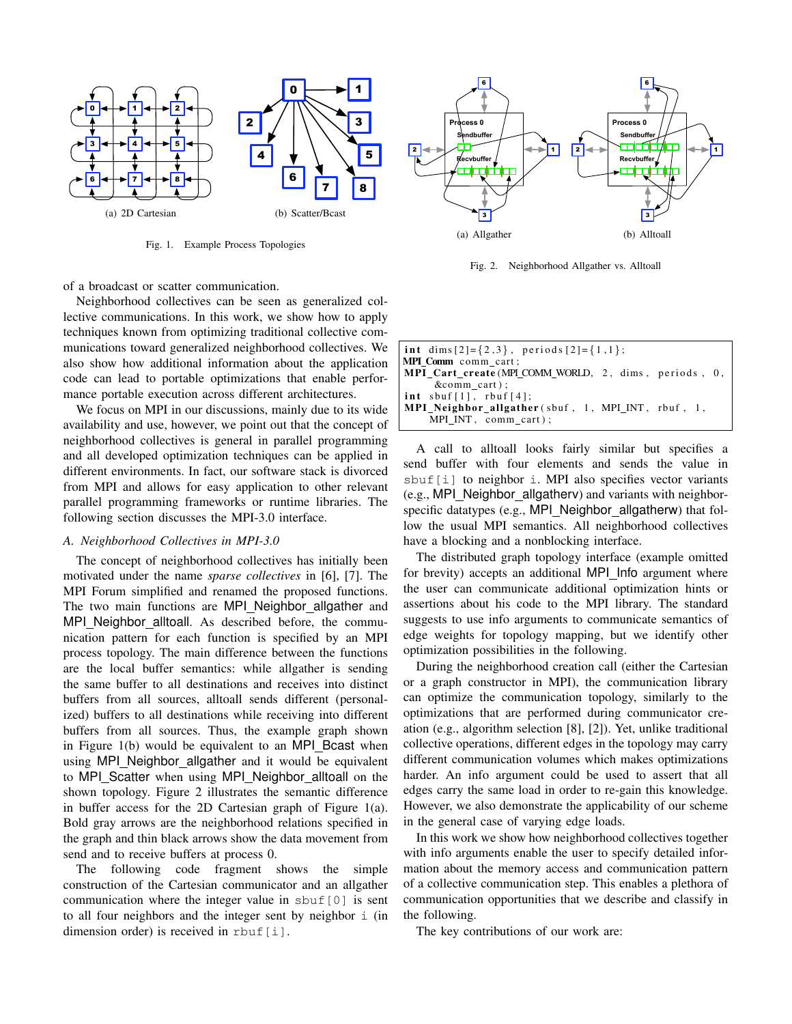

Fig. 1. Example Process Topologies

of a broadcast or scatter communication.

Neighborhood collectives can be seen as generalized collective communications. In this work, we show how to apply techniques known from optimizing traditional collective communications toward generalized neighborhood collectives. We also show how additional information about the application code can lead to portable optimizations that enable performance portable execution across different architectures.

We focus on MPI in our discussions, mainly due to its wide availability and use, however, we point out that the concept of neighborhood collectives is general in parallel programming and all developed optimization techniques can be applied in different environments. In fact, our software stack is divorced from MPI and allows for easy application to other relevant parallel programming frameworks or runtime libraries. The following section discusses the MPI-3.0 interface.

# *A. Neighborhood Collectives in MPI-3.0*

The concept of neighborhood collectives has initially been motivated under the name *sparse collectives* in [6], [7]. The MPI Forum simplified and renamed the proposed functions. The two main functions are MPI Neighbor allgather and MPI Neighbor alltoall. As described before, the communication pattern for each function is specified by an MPI process topology. The main difference between the functions are the local buffer semantics: while allgather is sending the same buffer to all destinations and receives into distinct buffers from all sources, alltoall sends different (personalized) buffers to all destinations while receiving into different buffers from all sources. Thus, the example graph shown in Figure 1(b) would be equivalent to an MPI Bcast when using MPI Neighbor allgather and it would be equivalent to MPI Scatter when using MPI Neighbor alltoall on the shown topology. Figure 2 illustrates the semantic difference in buffer access for the 2D Cartesian graph of Figure 1(a). Bold gray arrows are the neighborhood relations specified in the graph and thin black arrows show the data movement from send and to receive buffers at process 0.

The following code fragment shows the simple construction of the Cartesian communicator and an allgather communication where the integer value in sbuf  $[0]$  is sent to all four neighbors and the integer sent by neighbor i (in dimension order) is received in  $rbuf[i]$ .



Fig. 2. Neighborhood Allgather vs. Alltoall

| int dims $[2]=\{2,3\}$ , periods $[2]=\{1,1\}$ ;      |  |
|-------------------------------------------------------|--|
| MPI Comm comm cart;                                   |  |
| MPI Cart create (MPI COMM WORLD, 2, dims, periods, 0, |  |
| $&$ comm cart);                                       |  |
| int sbuf $[1]$ , rbuf $[4]$ ;                         |  |
| MPI_Neighbor_allgather(sbuf, 1, MPI_INT, rbuf, 1,     |  |
| MPI INT, comm cart);                                  |  |

A call to alltoall looks fairly similar but specifies a send buffer with four elements and sends the value in sbuf [i] to neighbor i. MPI also specifies vector variants (e.g., MPI Neighbor allgatherv) and variants with neighborspecific datatypes (e.g., MPI\_Neighbor\_allgatherw) that follow the usual MPI semantics. All neighborhood collectives have a blocking and a nonblocking interface.

The distributed graph topology interface (example omitted for brevity) accepts an additional MPI Info argument where the user can communicate additional optimization hints or assertions about his code to the MPI library. The standard suggests to use info arguments to communicate semantics of edge weights for topology mapping, but we identify other optimization possibilities in the following.

During the neighborhood creation call (either the Cartesian or a graph constructor in MPI), the communication library can optimize the communication topology, similarly to the optimizations that are performed during communicator creation (e.g., algorithm selection [8], [2]). Yet, unlike traditional collective operations, different edges in the topology may carry different communication volumes which makes optimizations harder. An info argument could be used to assert that all edges carry the same load in order to re-gain this knowledge. However, we also demonstrate the applicability of our scheme in the general case of varying edge loads.

In this work we show how neighborhood collectives together with info arguments enable the user to specify detailed information about the memory access and communication pattern of a collective communication step. This enables a plethora of communication opportunities that we describe and classify in the following.

The key contributions of our work are: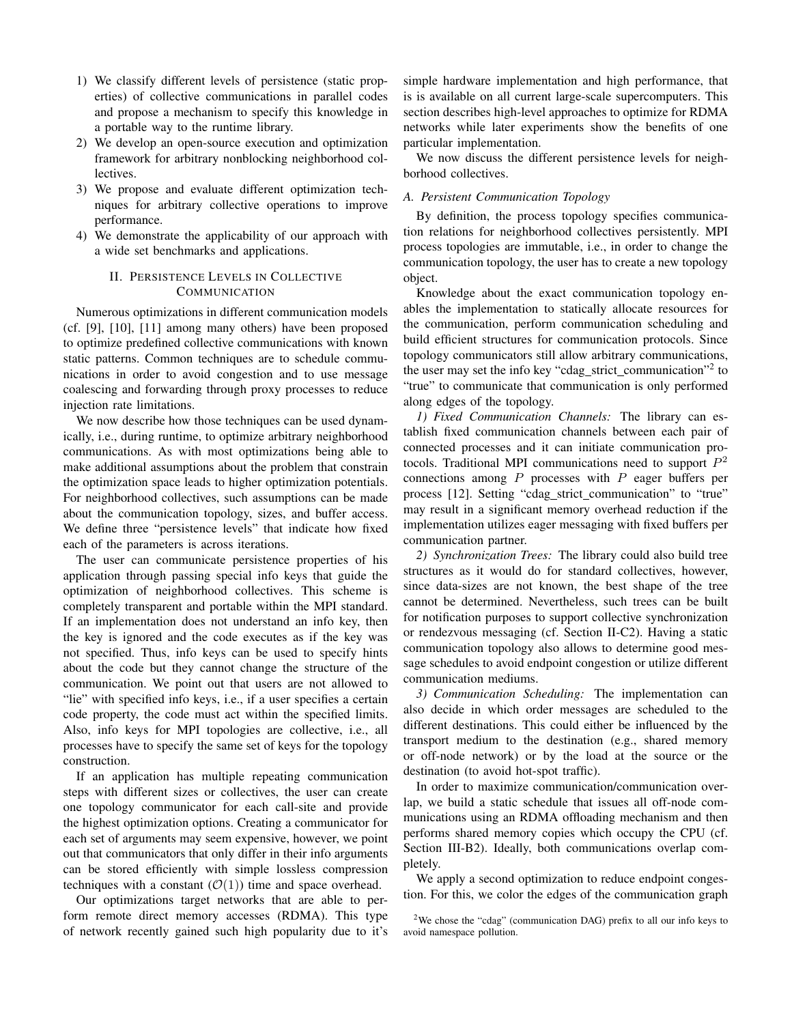- 1) We classify different levels of persistence (static properties) of collective communications in parallel codes and propose a mechanism to specify this knowledge in a portable way to the runtime library.
- 2) We develop an open-source execution and optimization framework for arbitrary nonblocking neighborhood collectives.
- 3) We propose and evaluate different optimization techniques for arbitrary collective operations to improve performance.
- 4) We demonstrate the applicability of our approach with a wide set benchmarks and applications.

# II. PERSISTENCE LEVELS IN COLLECTIVE **COMMUNICATION**

Numerous optimizations in different communication models (cf. [9], [10], [11] among many others) have been proposed to optimize predefined collective communications with known static patterns. Common techniques are to schedule communications in order to avoid congestion and to use message coalescing and forwarding through proxy processes to reduce injection rate limitations.

We now describe how those techniques can be used dynamically, i.e., during runtime, to optimize arbitrary neighborhood communications. As with most optimizations being able to make additional assumptions about the problem that constrain the optimization space leads to higher optimization potentials. For neighborhood collectives, such assumptions can be made about the communication topology, sizes, and buffer access. We define three "persistence levels" that indicate how fixed each of the parameters is across iterations.

The user can communicate persistence properties of his application through passing special info keys that guide the optimization of neighborhood collectives. This scheme is completely transparent and portable within the MPI standard. If an implementation does not understand an info key, then the key is ignored and the code executes as if the key was not specified. Thus, info keys can be used to specify hints about the code but they cannot change the structure of the communication. We point out that users are not allowed to "lie" with specified info keys, i.e., if a user specifies a certain code property, the code must act within the specified limits. Also, info keys for MPI topologies are collective, i.e., all processes have to specify the same set of keys for the topology construction.

If an application has multiple repeating communication steps with different sizes or collectives, the user can create one topology communicator for each call-site and provide the highest optimization options. Creating a communicator for each set of arguments may seem expensive, however, we point out that communicators that only differ in their info arguments can be stored efficiently with simple lossless compression techniques with a constant  $(\mathcal{O}(1))$  time and space overhead.

Our optimizations target networks that are able to perform remote direct memory accesses (RDMA). This type of network recently gained such high popularity due to it's simple hardware implementation and high performance, that is is available on all current large-scale supercomputers. This section describes high-level approaches to optimize for RDMA networks while later experiments show the benefits of one particular implementation.

We now discuss the different persistence levels for neighborhood collectives.

## *A. Persistent Communication Topology*

By definition, the process topology specifies communication relations for neighborhood collectives persistently. MPI process topologies are immutable, i.e., in order to change the communication topology, the user has to create a new topology object.

Knowledge about the exact communication topology enables the implementation to statically allocate resources for the communication, perform communication scheduling and build efficient structures for communication protocols. Since topology communicators still allow arbitrary communications, the user may set the info key "cdag\_strict\_communication"<sup>2</sup> to "true" to communicate that communication is only performed along edges of the topology.

*1) Fixed Communication Channels:* The library can establish fixed communication channels between each pair of connected processes and it can initiate communication protocols. Traditional MPI communications need to support *P* 2 connections among *P* processes with *P* eager buffers per process [12]. Setting "cdag strict communication" to "true" may result in a significant memory overhead reduction if the implementation utilizes eager messaging with fixed buffers per communication partner.

*2) Synchronization Trees:* The library could also build tree structures as it would do for standard collectives, however, since data-sizes are not known, the best shape of the tree cannot be determined. Nevertheless, such trees can be built for notification purposes to support collective synchronization or rendezvous messaging (cf. Section II-C2). Having a static communication topology also allows to determine good message schedules to avoid endpoint congestion or utilize different communication mediums.

*3) Communication Scheduling:* The implementation can also decide in which order messages are scheduled to the different destinations. This could either be influenced by the transport medium to the destination (e.g., shared memory or off-node network) or by the load at the source or the destination (to avoid hot-spot traffic).

In order to maximize communication/communication overlap, we build a static schedule that issues all off-node communications using an RDMA offloading mechanism and then performs shared memory copies which occupy the CPU (cf. Section III-B2). Ideally, both communications overlap completely.

We apply a second optimization to reduce endpoint congestion. For this, we color the edges of the communication graph

<sup>2</sup>We chose the "cdag" (communication DAG) prefix to all our info keys to avoid namespace pollution.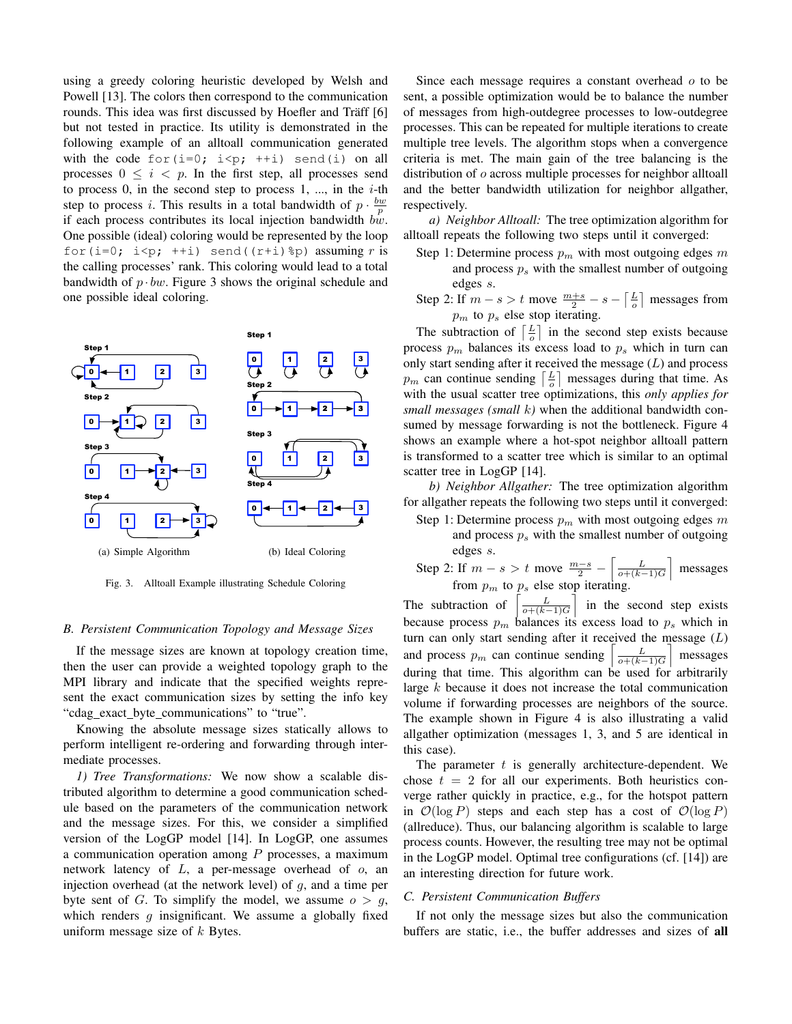using a greedy coloring heuristic developed by Welsh and Powell [13]. The colors then correspond to the communication rounds. This idea was first discussed by Hoefler and Träff [6] but not tested in practice. Its utility is demonstrated in the following example of an alltoall communication generated with the code for  $(i=0; i < p; ++i)$  send(i) on all processes  $0 \leq i \leq p$ . In the first step, all processes send to process 0, in the second step to process 1, ..., in the *i*-th step to process *i*. This results in a total bandwidth of  $p \cdot \frac{bw}{p}$ if each process contributes its local injection bandwidth *bw*. One possible (ideal) coloring would be represented by the loop for(i=0;  $i < p$ ;  $++i$ ) send((r+i)%p) assuming *r* is the calling processes' rank. This coloring would lead to a total bandwidth of  $p \cdot bw$ . Figure 3 shows the original schedule and one possible ideal coloring.



Fig. 3. Alltoall Example illustrating Schedule Coloring

#### *B. Persistent Communication Topology and Message Sizes*

If the message sizes are known at topology creation time, then the user can provide a weighted topology graph to the MPI library and indicate that the specified weights represent the exact communication sizes by setting the info key "cdag exact byte communications" to "true".

Knowing the absolute message sizes statically allows to perform intelligent re-ordering and forwarding through intermediate processes.

*1) Tree Transformations:* We now show a scalable distributed algorithm to determine a good communication schedule based on the parameters of the communication network and the message sizes. For this, we consider a simplified version of the LogGP model [14]. In LogGP, one assumes a communication operation among *P* processes, a maximum network latency of *L*, a per-message overhead of *o*, an injection overhead (at the network level) of *g*, and a time per byte sent of *G*. To simplify the model, we assume  $o > q$ , which renders *g* insignificant. We assume a globally fixed uniform message size of *k* Bytes.

Since each message requires a constant overhead *o* to be sent, a possible optimization would be to balance the number of messages from high-outdegree processes to low-outdegree processes. This can be repeated for multiple iterations to create multiple tree levels. The algorithm stops when a convergence criteria is met. The main gain of the tree balancing is the distribution of *o* across multiple processes for neighbor alltoall and the better bandwidth utilization for neighbor allgather, respectively.

*a) Neighbor Alltoall:* The tree optimization algorithm for alltoall repeats the following two steps until it converged:

- Step 1: Determine process *p<sup>m</sup>* with most outgoing edges *m* and process  $p<sub>s</sub>$  with the smallest number of outgoing edges *s*.
- Step 2: If  $m s > t$  move  $\frac{m+s}{2} s \left\lceil \frac{L}{o} \right\rceil$  messages from *p<sup>m</sup>* to *p<sup>s</sup>* else stop iterating.

The subtraction of  $\left\lceil \frac{L}{o} \right\rceil$  in the second step exists because process  $p_m$  balances its excess load to  $p_s$  which in turn can only start sending after it received the message (*L*) and process  $p_m$  can continue sending  $\left\lceil \frac{L}{o} \right\rceil$  messages during that time. As with the usual scatter tree optimizations, this *only applies for small messages (small k)* when the additional bandwidth consumed by message forwarding is not the bottleneck. Figure 4 shows an example where a hot-spot neighbor alltoall pattern is transformed to a scatter tree which is similar to an optimal scatter tree in LogGP [14].

*b) Neighbor Allgather:* The tree optimization algorithm for allgather repeats the following two steps until it converged:

Step 1: Determine process *p<sup>m</sup>* with most outgoing edges *m* and process  $p<sub>s</sub>$  with the smallest number of outgoing edges *s*.

Step 2: If  $m - s > t$  move  $\frac{m - s}{2}$  – ⌈ *L o*+(*k−*1)*G* ⌉ messages from  $p_m$  to  $p_s$  else stop iterating.

The subtraction of  $\int_{0}^{L} \frac{L}{\phi + (k-1)G}$  $\bar{\hspace{0.1cm}\big]}$  in the second step exists because process *p<sup>m</sup>* balances its excess load to *p<sup>s</sup>* which in turn can only start sending after it received the message (*L*) and process  $p_m$  can continue sending  $\int_{0}^{L} \frac{L}{e^{-(k-1)G}}$ | messages during that time. This algorithm can be used for arbitrarily large *k* because it does not increase the total communication volume if forwarding processes are neighbors of the source. The example shown in Figure 4 is also illustrating a valid allgather optimization (messages 1, 3, and 5 are identical in this case).

The parameter *t* is generally architecture-dependent. We chose  $t = 2$  for all our experiments. Both heuristics converge rather quickly in practice, e.g., for the hotspot pattern in  $\mathcal{O}(\log P)$  steps and each step has a cost of  $\mathcal{O}(\log P)$ (allreduce). Thus, our balancing algorithm is scalable to large process counts. However, the resulting tree may not be optimal in the LogGP model. Optimal tree configurations (cf. [14]) are an interesting direction for future work.

# *C. Persistent Communication Buffers*

If not only the message sizes but also the communication buffers are static, i.e., the buffer addresses and sizes of all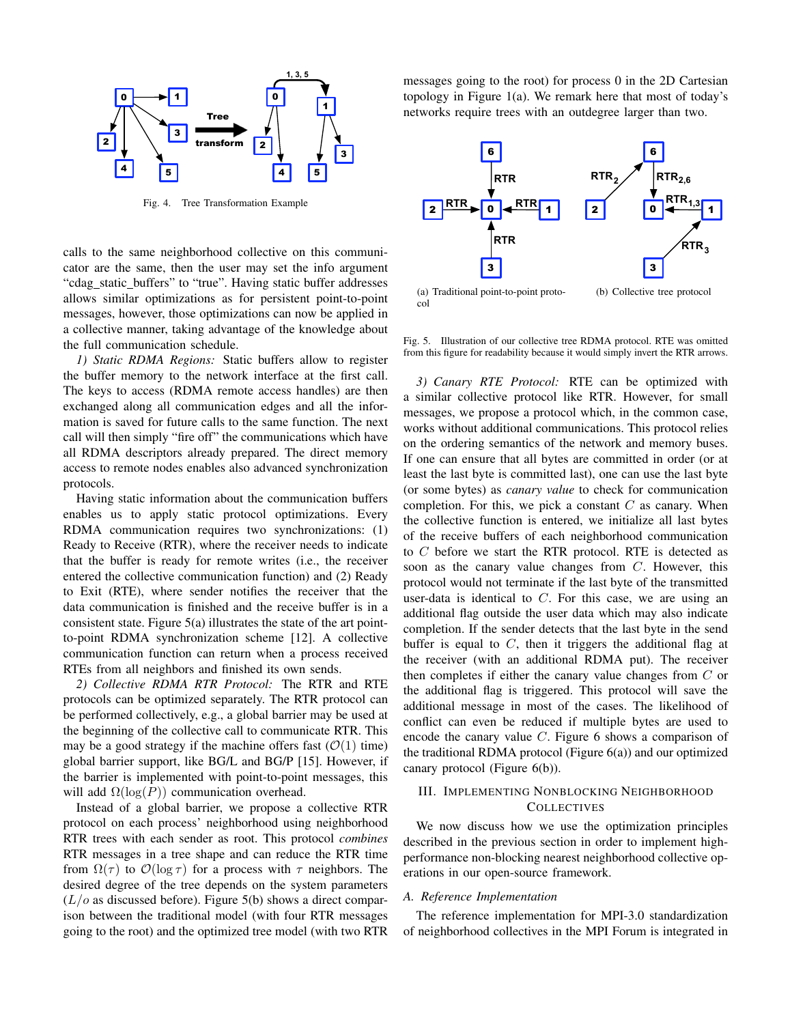

Fig. 4. Tree Transformation Example

calls to the same neighborhood collective on this communicator are the same, then the user may set the info argument "cdag static buffers" to "true". Having static buffer addresses allows similar optimizations as for persistent point-to-point messages, however, those optimizations can now be applied in a collective manner, taking advantage of the knowledge about the full communication schedule.

*1) Static RDMA Regions:* Static buffers allow to register the buffer memory to the network interface at the first call. The keys to access (RDMA remote access handles) are then exchanged along all communication edges and all the information is saved for future calls to the same function. The next call will then simply "fire off" the communications which have all RDMA descriptors already prepared. The direct memory access to remote nodes enables also advanced synchronization protocols.

Having static information about the communication buffers enables us to apply static protocol optimizations. Every RDMA communication requires two synchronizations: (1) Ready to Receive (RTR), where the receiver needs to indicate that the buffer is ready for remote writes (i.e., the receiver entered the collective communication function) and (2) Ready to Exit (RTE), where sender notifies the receiver that the data communication is finished and the receive buffer is in a consistent state. Figure  $5(a)$  illustrates the state of the art pointto-point RDMA synchronization scheme [12]. A collective communication function can return when a process received RTEs from all neighbors and finished its own sends.

*2) Collective RDMA RTR Protocol:* The RTR and RTE protocols can be optimized separately. The RTR protocol can be performed collectively, e.g., a global barrier may be used at the beginning of the collective call to communicate RTR. This may be a good strategy if the machine offers fast  $(\mathcal{O}(1)$  time) global barrier support, like BG/L and BG/P [15]. However, if the barrier is implemented with point-to-point messages, this will add  $\Omega(\log(P))$  communication overhead.

Instead of a global barrier, we propose a collective RTR protocol on each process' neighborhood using neighborhood RTR trees with each sender as root. This protocol *combines* RTR messages in a tree shape and can reduce the RTR time from  $\Omega(\tau)$  to  $\mathcal{O}(\log \tau)$  for a process with  $\tau$  neighbors. The desired degree of the tree depends on the system parameters  $(L/\sigma)$  as discussed before). Figure 5(b) shows a direct comparison between the traditional model (with four RTR messages going to the root) and the optimized tree model (with two RTR messages going to the root) for process 0 in the 2D Cartesian topology in Figure 1(a). We remark here that most of today's networks require trees with an outdegree larger than two.



Fig. 5. Illustration of our collective tree RDMA protocol. RTE was omitted from this figure for readability because it would simply invert the RTR arrows.

*3) Canary RTE Protocol:* RTE can be optimized with a similar collective protocol like RTR. However, for small messages, we propose a protocol which, in the common case, works without additional communications. This protocol relies on the ordering semantics of the network and memory buses. If one can ensure that all bytes are committed in order (or at least the last byte is committed last), one can use the last byte (or some bytes) as *canary value* to check for communication completion. For this, we pick a constant *C* as canary. When the collective function is entered, we initialize all last bytes of the receive buffers of each neighborhood communication to *C* before we start the RTR protocol. RTE is detected as soon as the canary value changes from *C*. However, this protocol would not terminate if the last byte of the transmitted user-data is identical to *C*. For this case, we are using an additional flag outside the user data which may also indicate completion. If the sender detects that the last byte in the send buffer is equal to *C*, then it triggers the additional flag at the receiver (with an additional RDMA put). The receiver then completes if either the canary value changes from *C* or the additional flag is triggered. This protocol will save the additional message in most of the cases. The likelihood of conflict can even be reduced if multiple bytes are used to encode the canary value *C*. Figure 6 shows a comparison of the traditional RDMA protocol (Figure 6(a)) and our optimized canary protocol (Figure 6(b)).

# III. IMPLEMENTING NONBLOCKING NEIGHBORHOOD **COLLECTIVES**

We now discuss how we use the optimization principles described in the previous section in order to implement highperformance non-blocking nearest neighborhood collective operations in our open-source framework.

#### *A. Reference Implementation*

The reference implementation for MPI-3.0 standardization of neighborhood collectives in the MPI Forum is integrated in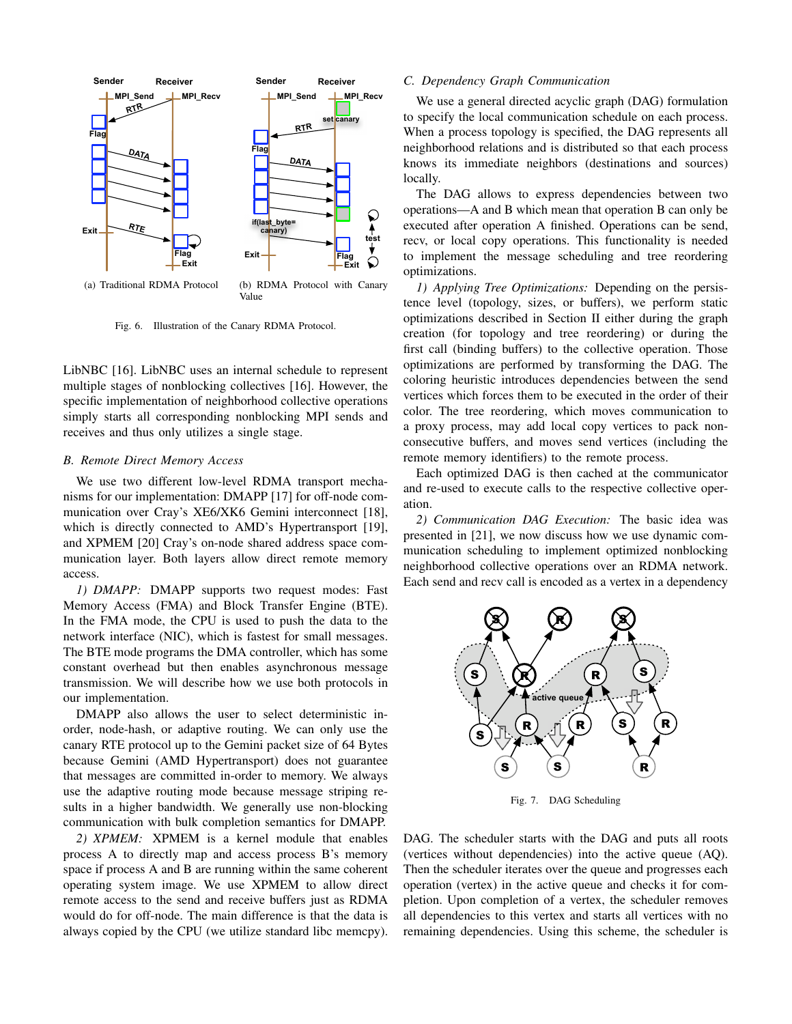

Fig. 6. Illustration of the Canary RDMA Protocol.

LibNBC [16]. LibNBC uses an internal schedule to represent multiple stages of nonblocking collectives [16]. However, the specific implementation of neighborhood collective operations simply starts all corresponding nonblocking MPI sends and receives and thus only utilizes a single stage.

## *B. Remote Direct Memory Access*

We use two different low-level RDMA transport mechanisms for our implementation: DMAPP [17] for off-node communication over Cray's XE6/XK6 Gemini interconnect [18], which is directly connected to AMD's Hypertransport [19], and XPMEM [20] Cray's on-node shared address space communication layer. Both layers allow direct remote memory access.

*1) DMAPP:* DMAPP supports two request modes: Fast Memory Access (FMA) and Block Transfer Engine (BTE). In the FMA mode, the CPU is used to push the data to the network interface (NIC), which is fastest for small messages. The BTE mode programs the DMA controller, which has some constant overhead but then enables asynchronous message transmission. We will describe how we use both protocols in our implementation.

DMAPP also allows the user to select deterministic inorder, node-hash, or adaptive routing. We can only use the canary RTE protocol up to the Gemini packet size of 64 Bytes because Gemini (AMD Hypertransport) does not guarantee that messages are committed in-order to memory. We always use the adaptive routing mode because message striping results in a higher bandwidth. We generally use non-blocking communication with bulk completion semantics for DMAPP.

*2) XPMEM:* XPMEM is a kernel module that enables process A to directly map and access process B's memory space if process A and B are running within the same coherent operating system image. We use XPMEM to allow direct remote access to the send and receive buffers just as RDMA would do for off-node. The main difference is that the data is always copied by the CPU (we utilize standard libc memcpy).

#### *C. Dependency Graph Communication*

We use a general directed acyclic graph (DAG) formulation to specify the local communication schedule on each process. When a process topology is specified, the DAG represents all neighborhood relations and is distributed so that each process knows its immediate neighbors (destinations and sources) locally.

The DAG allows to express dependencies between two operations—A and B which mean that operation B can only be executed after operation A finished. Operations can be send, recv, or local copy operations. This functionality is needed to implement the message scheduling and tree reordering optimizations.

*1) Applying Tree Optimizations:* Depending on the persistence level (topology, sizes, or buffers), we perform static optimizations described in Section II either during the graph creation (for topology and tree reordering) or during the first call (binding buffers) to the collective operation. Those optimizations are performed by transforming the DAG. The coloring heuristic introduces dependencies between the send vertices which forces them to be executed in the order of their color. The tree reordering, which moves communication to a proxy process, may add local copy vertices to pack nonconsecutive buffers, and moves send vertices (including the remote memory identifiers) to the remote process.

Each optimized DAG is then cached at the communicator and re-used to execute calls to the respective collective operation.

*2) Communication DAG Execution:* The basic idea was presented in [21], we now discuss how we use dynamic communication scheduling to implement optimized nonblocking neighborhood collective operations over an RDMA network. Each send and recv call is encoded as a vertex in a dependency



Fig. 7. DAG Scheduling

DAG. The scheduler starts with the DAG and puts all roots (vertices without dependencies) into the active queue (AQ). Then the scheduler iterates over the queue and progresses each operation (vertex) in the active queue and checks it for completion. Upon completion of a vertex, the scheduler removes all dependencies to this vertex and starts all vertices with no remaining dependencies. Using this scheme, the scheduler is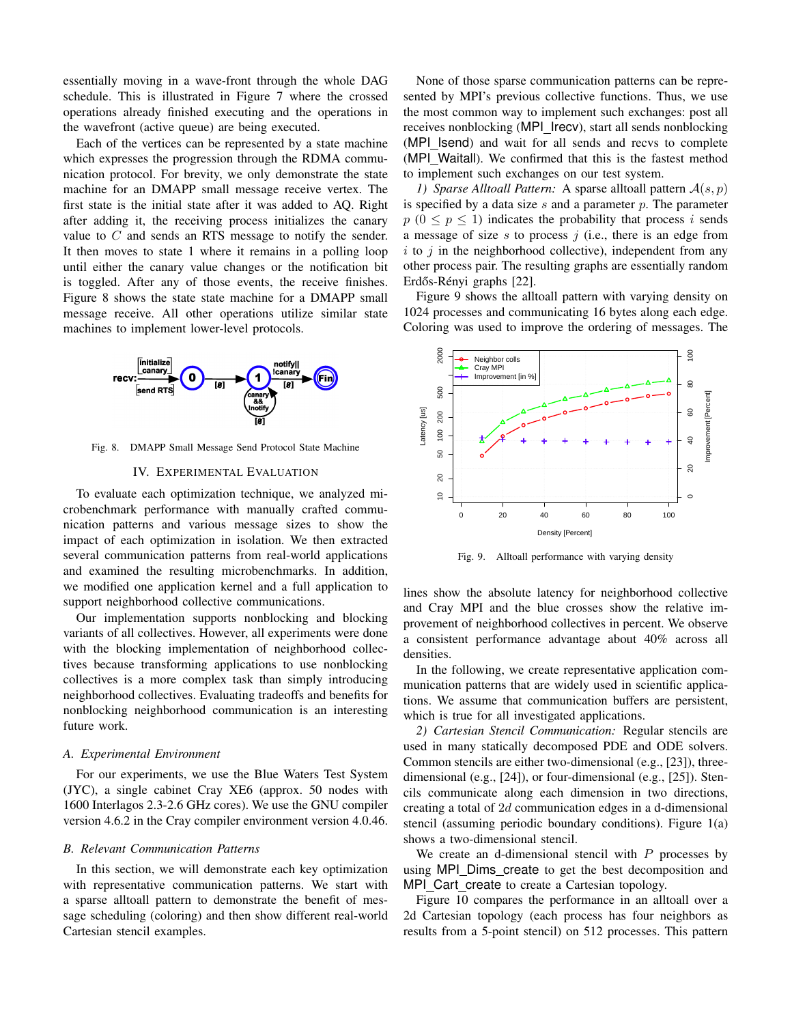essentially moving in a wave-front through the whole DAG schedule. This is illustrated in Figure 7 where the crossed operations already finished executing and the operations in the wavefront (active queue) are being executed.

Each of the vertices can be represented by a state machine which expresses the progression through the RDMA communication protocol. For brevity, we only demonstrate the state machine for an DMAPP small message receive vertex. The first state is the initial state after it was added to AQ. Right after adding it, the receiving process initializes the canary value to *C* and sends an RTS message to notify the sender. It then moves to state 1 where it remains in a polling loop until either the canary value changes or the notification bit is toggled. After any of those events, the receive finishes. Figure 8 shows the state state machine for a DMAPP small message receive. All other operations utilize similar state machines to implement lower-level protocols.



Fig. 8. DMAPP Small Message Send Protocol State Machine

# IV. EXPERIMENTAL EVALUATION

To evaluate each optimization technique, we analyzed microbenchmark performance with manually crafted communication patterns and various message sizes to show the impact of each optimization in isolation. We then extracted several communication patterns from real-world applications and examined the resulting microbenchmarks. In addition, we modified one application kernel and a full application to support neighborhood collective communications.

Our implementation supports nonblocking and blocking variants of all collectives. However, all experiments were done with the blocking implementation of neighborhood collectives because transforming applications to use nonblocking collectives is a more complex task than simply introducing neighborhood collectives. Evaluating tradeoffs and benefits for nonblocking neighborhood communication is an interesting future work.

## *A. Experimental Environment*

For our experiments, we use the Blue Waters Test System (JYC), a single cabinet Cray XE6 (approx. 50 nodes with 1600 Interlagos 2.3-2.6 GHz cores). We use the GNU compiler version 4.6.2 in the Cray compiler environment version 4.0.46.

#### *B. Relevant Communication Patterns*

In this section, we will demonstrate each key optimization with representative communication patterns. We start with a sparse alltoall pattern to demonstrate the benefit of message scheduling (coloring) and then show different real-world Cartesian stencil examples.

None of those sparse communication patterns can be represented by MPI's previous collective functions. Thus, we use the most common way to implement such exchanges: post all receives nonblocking (MPI\_Irecv), start all sends nonblocking (MPI Isend) and wait for all sends and recvs to complete (MPI Waitall). We confirmed that this is the fastest method to implement such exchanges on our test system.

*1) Sparse Alltoall Pattern:* A sparse alltoall pattern *A*(*s, p*) is specified by a data size *s* and a parameter *p*. The parameter  $p$  ( $0 \leq p \leq 1$ ) indicates the probability that process *i* sends a message of size *s* to process *j* (i.e., there is an edge from *i* to *j* in the neighborhood collective), independent from any other process pair. The resulting graphs are essentially random Erdős-Rényi graphs [22].

Figure 9 shows the alltoall pattern with varying density on 1024 processes and communicating 16 bytes along each edge. Coloring was used to improve the ordering of messages. The



Fig. 9. Alltoall performance with varying density

lines show the absolute latency for neighborhood collective and Cray MPI and the blue crosses show the relative improvement of neighborhood collectives in percent. We observe a consistent performance advantage about 40% across all densities.

In the following, we create representative application communication patterns that are widely used in scientific applications. We assume that communication buffers are persistent, which is true for all investigated applications.

*2) Cartesian Stencil Communication:* Regular stencils are used in many statically decomposed PDE and ODE solvers. Common stencils are either two-dimensional (e.g., [23]), threedimensional (e.g., [24]), or four-dimensional (e.g., [25]). Stencils communicate along each dimension in two directions, creating a total of 2*d* communication edges in a d-dimensional stencil (assuming periodic boundary conditions). Figure 1(a) shows a two-dimensional stencil.

We create an d-dimensional stencil with *P* processes by using MPI Dims create to get the best decomposition and MPI\_Cart\_create to create a Cartesian topology.

Figure 10 compares the performance in an alltoall over a 2d Cartesian topology (each process has four neighbors as results from a 5-point stencil) on 512 processes. This pattern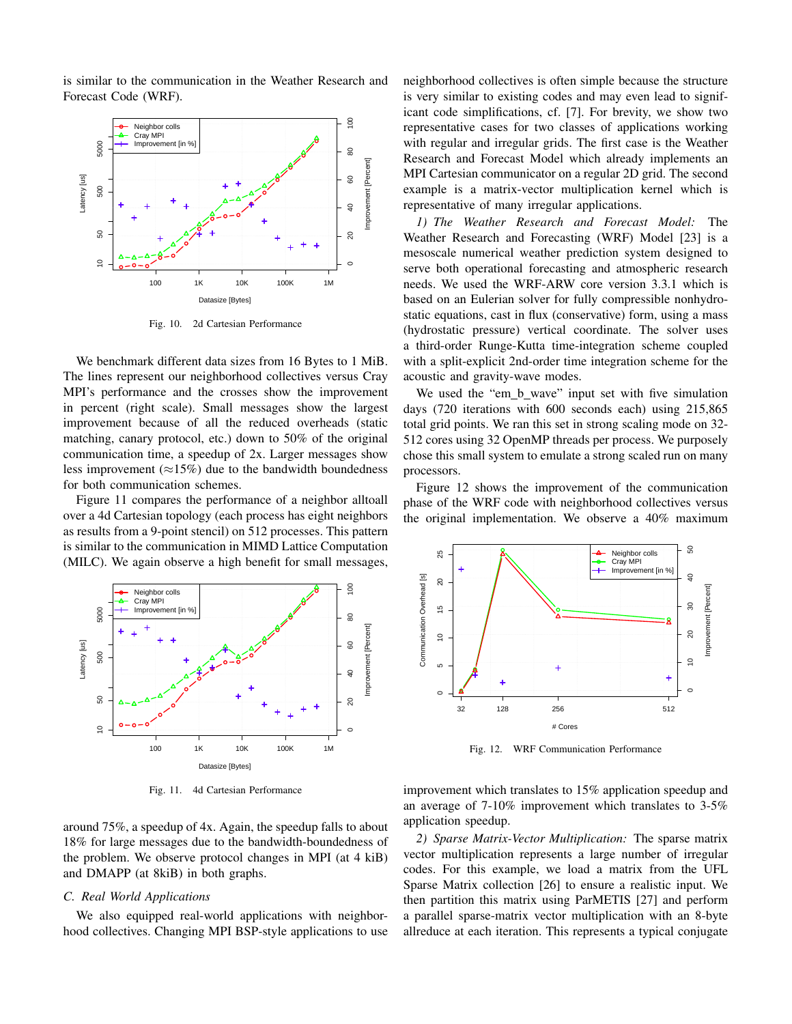is similar to the communication in the Weather Research and Forecast Code (WRF).



Fig. 10. 2d Cartesian Performance

We benchmark different data sizes from 16 Bytes to 1 MiB. The lines represent our neighborhood collectives versus Cray MPI's performance and the crosses show the improvement in percent (right scale). Small messages show the largest improvement because of all the reduced overheads (static matching, canary protocol, etc.) down to 50% of the original communication time, a speedup of 2x. Larger messages show less improvement (*≈*15%) due to the bandwidth boundedness for both communication schemes.

Figure 11 compares the performance of a neighbor alltoall over a 4d Cartesian topology (each process has eight neighbors as results from a 9-point stencil) on 512 processes. This pattern is similar to the communication in MIMD Lattice Computation (MILC). We again observe a high benefit for small messages,



Fig. 11. 4d Cartesian Performance

around 75%, a speedup of 4x. Again, the speedup falls to about 18% for large messages due to the bandwidth-boundedness of the problem. We observe protocol changes in MPI (at 4 kiB) and DMAPP (at 8kiB) in both graphs.

# *C. Real World Applications*

We also equipped real-world applications with neighborhood collectives. Changing MPI BSP-style applications to use neighborhood collectives is often simple because the structure is very similar to existing codes and may even lead to significant code simplifications, cf. [7]. For brevity, we show two representative cases for two classes of applications working with regular and irregular grids. The first case is the Weather Research and Forecast Model which already implements an MPI Cartesian communicator on a regular 2D grid. The second example is a matrix-vector multiplication kernel which is representative of many irregular applications.

*1) The Weather Research and Forecast Model:* The Weather Research and Forecasting (WRF) Model [23] is a mesoscale numerical weather prediction system designed to serve both operational forecasting and atmospheric research needs. We used the WRF-ARW core version 3.3.1 which is based on an Eulerian solver for fully compressible nonhydrostatic equations, cast in flux (conservative) form, using a mass (hydrostatic pressure) vertical coordinate. The solver uses a third-order Runge-Kutta time-integration scheme coupled with a split-explicit 2nd-order time integration scheme for the acoustic and gravity-wave modes.

We used the "em\_b\_wave" input set with five simulation days (720 iterations with 600 seconds each) using 215,865 total grid points. We ran this set in strong scaling mode on 32- 512 cores using 32 OpenMP threads per process. We purposely chose this small system to emulate a strong scaled run on many processors.

Figure 12 shows the improvement of the communication phase of the WRF code with neighborhood collectives versus the original implementation. We observe a 40% maximum



Fig. 12. WRF Communication Performance

improvement which translates to 15% application speedup and an average of 7-10% improvement which translates to 3-5% application speedup.

*2) Sparse Matrix-Vector Multiplication:* The sparse matrix vector multiplication represents a large number of irregular codes. For this example, we load a matrix from the UFL Sparse Matrix collection [26] to ensure a realistic input. We then partition this matrix using ParMETIS [27] and perform a parallel sparse-matrix vector multiplication with an 8-byte allreduce at each iteration. This represents a typical conjugate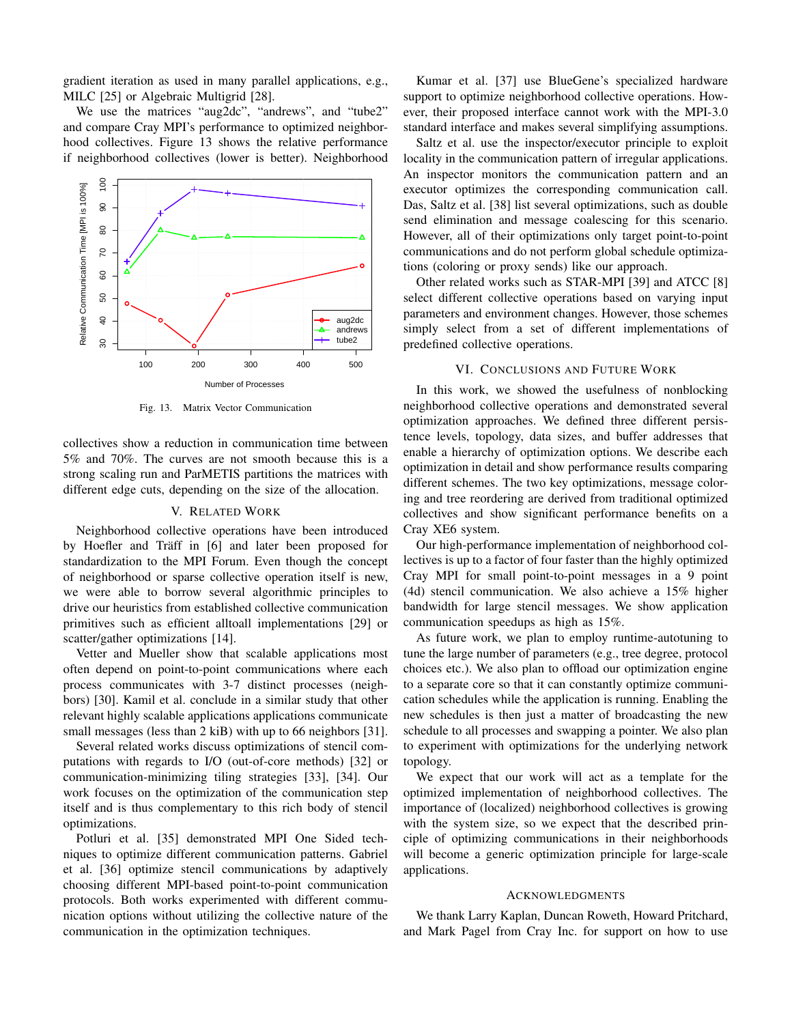gradient iteration as used in many parallel applications, e.g., MILC [25] or Algebraic Multigrid [28].

We use the matrices "aug2dc", "andrews", and "tube2" and compare Cray MPI's performance to optimized neighborhood collectives. Figure 13 shows the relative performance if neighborhood collectives (lower is better). Neighborhood



Fig. 13. Matrix Vector Communication

collectives show a reduction in communication time between 5% and 70%. The curves are not smooth because this is a strong scaling run and ParMETIS partitions the matrices with different edge cuts, depending on the size of the allocation.

# V. RELATED WORK

Neighborhood collective operations have been introduced by Hoefler and Träff in [6] and later been proposed for standardization to the MPI Forum. Even though the concept of neighborhood or sparse collective operation itself is new, we were able to borrow several algorithmic principles to drive our heuristics from established collective communication primitives such as efficient alltoall implementations [29] or scatter/gather optimizations [14].

Vetter and Mueller show that scalable applications most often depend on point-to-point communications where each process communicates with 3-7 distinct processes (neighbors) [30]. Kamil et al. conclude in a similar study that other relevant highly scalable applications applications communicate small messages (less than 2 kiB) with up to 66 neighbors [31].

Several related works discuss optimizations of stencil computations with regards to I/O (out-of-core methods) [32] or communication-minimizing tiling strategies [33], [34]. Our work focuses on the optimization of the communication step itself and is thus complementary to this rich body of stencil optimizations.

Potluri et al. [35] demonstrated MPI One Sided techniques to optimize different communication patterns. Gabriel et al. [36] optimize stencil communications by adaptively choosing different MPI-based point-to-point communication protocols. Both works experimented with different communication options without utilizing the collective nature of the communication in the optimization techniques.

Kumar et al. [37] use BlueGene's specialized hardware support to optimize neighborhood collective operations. However, their proposed interface cannot work with the MPI-3.0 standard interface and makes several simplifying assumptions.

Saltz et al. use the inspector/executor principle to exploit locality in the communication pattern of irregular applications. An inspector monitors the communication pattern and an executor optimizes the corresponding communication call. Das, Saltz et al. [38] list several optimizations, such as double send elimination and message coalescing for this scenario. However, all of their optimizations only target point-to-point communications and do not perform global schedule optimizations (coloring or proxy sends) like our approach.

Other related works such as STAR-MPI [39] and ATCC [8] select different collective operations based on varying input parameters and environment changes. However, those schemes simply select from a set of different implementations of predefined collective operations.

# VI. CONCLUSIONS AND FUTURE WORK

In this work, we showed the usefulness of nonblocking neighborhood collective operations and demonstrated several optimization approaches. We defined three different persistence levels, topology, data sizes, and buffer addresses that enable a hierarchy of optimization options. We describe each optimization in detail and show performance results comparing different schemes. The two key optimizations, message coloring and tree reordering are derived from traditional optimized collectives and show significant performance benefits on a Cray XE6 system.

Our high-performance implementation of neighborhood collectives is up to a factor of four faster than the highly optimized Cray MPI for small point-to-point messages in a 9 point (4d) stencil communication. We also achieve a 15% higher bandwidth for large stencil messages. We show application communication speedups as high as 15%.

As future work, we plan to employ runtime-autotuning to tune the large number of parameters (e.g., tree degree, protocol choices etc.). We also plan to offload our optimization engine to a separate core so that it can constantly optimize communication schedules while the application is running. Enabling the new schedules is then just a matter of broadcasting the new schedule to all processes and swapping a pointer. We also plan to experiment with optimizations for the underlying network topology.

We expect that our work will act as a template for the optimized implementation of neighborhood collectives. The importance of (localized) neighborhood collectives is growing with the system size, so we expect that the described principle of optimizing communications in their neighborhoods will become a generic optimization principle for large-scale applications.

# ACKNOWLEDGMENTS

We thank Larry Kaplan, Duncan Roweth, Howard Pritchard, and Mark Pagel from Cray Inc. for support on how to use